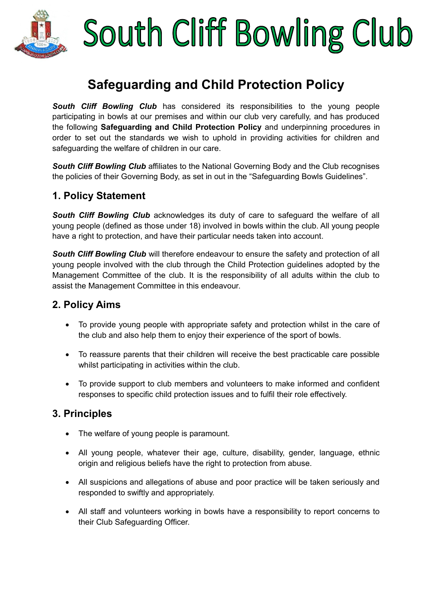

# South Cliff Bowling Club

### **Safeguarding and Child Protection Policy**

**South Cliff Bowling Club** has considered its responsibilities to the young people participating in bowls at our premises and within our club very carefully, and has produced the following **Safeguarding and Child Protection Policy** and underpinning procedures in order to set out the standards we wish to uphold in providing activities for children and safeguarding the welfare of children in our care.

**South Cliff Bowling Club** affiliates to the National Governing Body and the Club recognises the policies of their Governing Body, as set in out in the "Safeguarding Bowls Guidelines".

#### **1. Policy Statement**

*South Cliff Bowling Club* acknowledges its duty of care to safeguard the welfare of all young people (defined as those under 18) involved in bowls within the club. All young people have a right to protection, and have their particular needs taken into account.

*South Cliff Bowling Club* will therefore endeavour to ensure the safety and protection of all young people involved with the club through the Child Protection guidelines adopted by the Management Committee of the club. It is the responsibility of all adults within the club to assist the Management Committee in this endeavour.

#### **2. Policy Aims**

- To provide young people with appropriate safety and protection whilst in the care of the club and also help them to enjoy their experience of the sport of bowls.
- To reassure parents that their children will receive the best practicable care possible whilst participating in activities within the club.
- To provide support to club members and volunteers to make informed and confident responses to specific child protection issues and to fulfil their role effectively.

#### **3. Principles**

- The welfare of young people is paramount.
- All young people, whatever their age, culture, disability, gender, language, ethnic origin and religious beliefs have the right to protection from abuse.
- All suspicions and allegations of abuse and poor practice will be taken seriously and responded to swiftly and appropriately.
- All staff and volunteers working in bowls have a responsibility to report concerns to their Club Safeguarding Officer.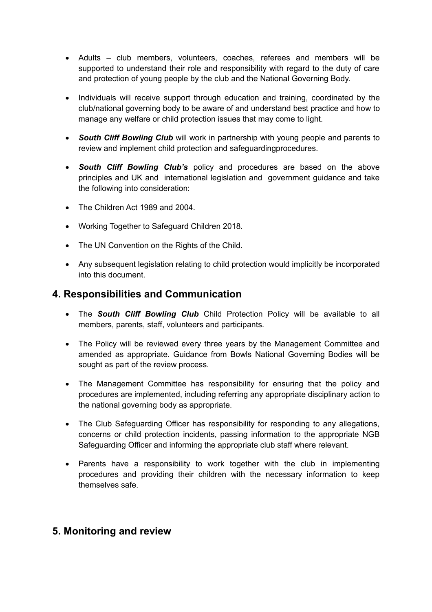- Adults club members, volunteers, coaches, referees and members will be supported to understand their role and responsibility with regard to the duty of care and protection of young people by the club and the National Governing Body.
- Individuals will receive support through education and training, coordinated by the club/national governing body to be aware of and understand best practice and how to manage any welfare or child protection issues that may come to light.
- *South Cliff Bowling Club* will work in partnership with young people and parents to review and implement child protection and safeguardingprocedures.
- *South Cliff Bowling Club's* policy and procedures are based on the above principles and UK and international legislation and government guidance and take the following into consideration:
- The Children Act 1989 and 2004.
- Working Together to Safeguard Children 2018.
- The UN Convention on the Rights of the Child.
- Any subsequent legislation relating to child protection would implicitly be incorporated into this document.

#### **4. Responsibilities and Communication**

- The *South Cliff Bowling Club* Child Protection Policy will be available to all members, parents, staff, volunteers and participants.
- The Policy will be reviewed every three years by the Management Committee and amended as appropriate. Guidance from Bowls National Governing Bodies will be sought as part of the review process.
- The Management Committee has responsibility for ensuring that the policy and procedures are implemented, including referring any appropriate disciplinary action to the national governing body as appropriate.
- The Club Safeguarding Officer has responsibility for responding to any allegations, concerns or child protection incidents, passing information to the appropriate NGB Safeguarding Officer and informing the appropriate club staff where relevant.
- Parents have a responsibility to work together with the club in implementing procedures and providing their children with the necessary information to keep themselves safe.

#### **5. Monitoring and review**